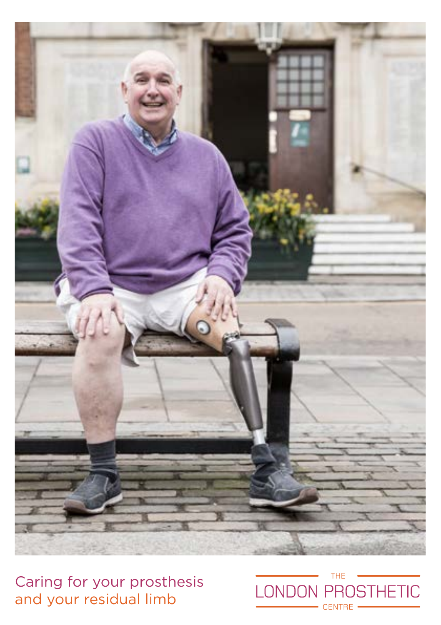

Caring for your prosthesis and your residual limb

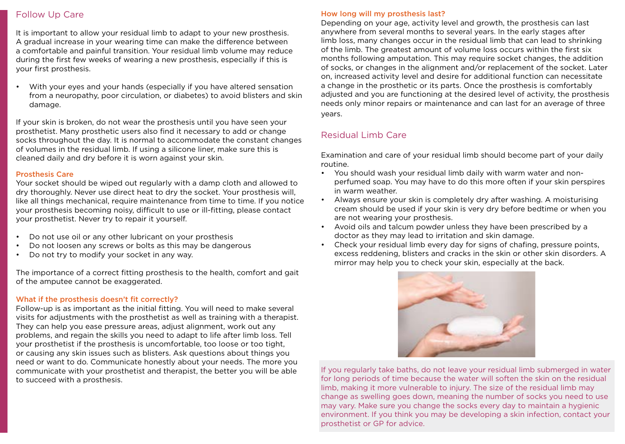### Follow Up Care

It is important to allow your residual limb to adapt to your new prosthesis. A gradual increase in your wearing time can make the difference between a comfortable and painful transition. Your residual limb volume may reduce during the first few weeks of wearing a new prosthesis, especially if this is your first prosthesis.

• With your eyes and your hands (especially if you have altered sensation from a neuropathy, poor circulation, or diabetes) to avoid blisters and skin damage.

If your skin is broken, do not wear the prosthesis until you have seen your prosthetist. Many prosthetic users also find it necessary to add or change socks throughout the day. It is normal to accommodate the constant changes of volumes in the residual limb. If using a silicone liner, make sure this is cleaned daily and dry before it is worn against your skin.

#### Prosthesis Care

Your socket should be wiped out regularly with a damp cloth and allowed to dry thoroughly. Never use direct heat to dry the socket. Your prosthesis will, like all things mechanical, require maintenance from time to time. If you notice your prosthesis becoming noisy, difficult to use or ill-fitting, please contact your prosthetist. Never try to repair it yourself.

- Do not use oil or any other lubricant on your prosthesis
- Do not loosen any screws or bolts as this may be dangerous
- Do not try to modify your socket in any way.

The importance of a correct fitting prosthesis to the health, comfort and gait of the amputee cannot be exaggerated.

#### What if the prosthesis doesn't fit correctly?

Follow-up is as important as the initial fitting. You will need to make several visits for adjustments with the prosthetist as well as training with a therapist. They can help you ease pressure areas, adjust alignment, work out any problems, and regain the skills you need to adapt to life after limb loss. Tell your prosthetist if the prosthesis is uncomfortable, too loose or too tight, or causing any skin issues such as blisters. Ask questions about things you need or want to do. Communicate honestly about your needs. The more you communicate with your prosthetist and therapist, the better you will be able to succeed with a prosthesis.

#### How long will my prosthesis last?

Depending on your age, activity level and growth, the prosthesis can last anywhere from several months to several years. In the early stages after limb loss, many changes occur in the residual limb that can lead to shrinking of the limb. The greatest amount of volume loss occurs within the first six months following amputation. This may require socket changes, the addition of socks, or changes in the alignment and/or replacement of the socket. Later on, increased activity level and desire for additional function can necessitate a change in the prosthetic or its parts. Once the prosthesis is comfortably adjusted and you are functioning at the desired level of activity, the prosthesis needs only minor repairs or maintenance and can last for an average of three years.

## Residual Limb Care

Examination and care of your residual limb should become part of your daily routine.

- You should wash your residual limb daily with warm water and nonperfumed soap. You may have to do this more often if your skin perspires in warm weather.
- Always ensure your skin is completely dry after washing. A moisturising cream should be used if your skin is very dry before bedtime or when you are not wearing your prosthesis.
- Avoid oils and talcum powder unless they have been prescribed by a doctor as they may lead to irritation and skin damage.
- Check your residual limb every day for signs of chafing, pressure points, excess reddening, blisters and cracks in the skin or other skin disorders. A mirror may help you to check your skin, especially at the back.



If you regularly take baths, do not leave your residual limb submerged in water for long periods of time because the water will soften the skin on the residual limb, making it more vulnerable to injury. The size of the residual limb may change as swelling goes down, meaning the number of socks you need to use may vary. Make sure you change the socks every day to maintain a hygienic environment. If you think you may be developing a skin infection, contact your prosthetist or GP for advice.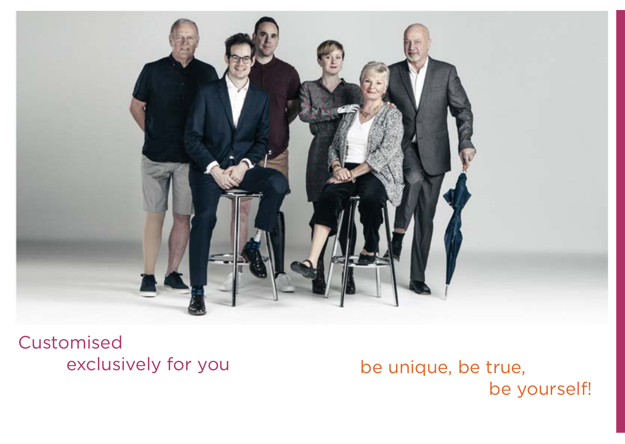

Customised exclusively for you

be unique, be true, be yourself!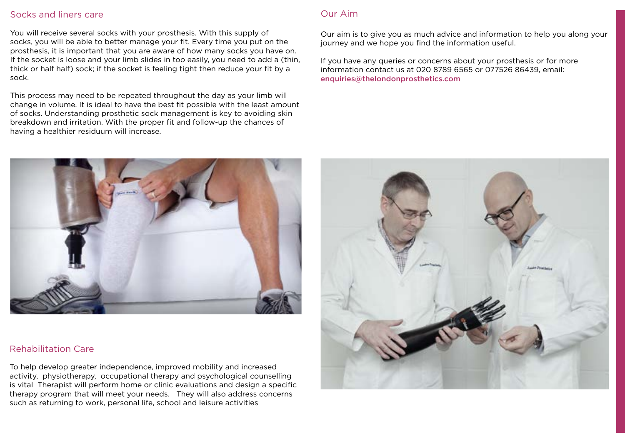### Socks and liners care

You will receive several socks with your prosthesis. With this supply of socks, you will be able to better manage your fit. Every time you put on the prosthesis, it is important that you are aware of how many socks you have on. If the socket is loose and your limb slides in too easily, you need to add a (thin, thick or half half) sock; if the socket is feeling tight then reduce your fit by a sock.

This process may need to be repeated throughout the day as your limb will change in volume. It is ideal to have the best fit possible with the least amount of socks. Understanding prosthetic sock management is key to avoiding skin breakdown and irritation. With the proper fit and follow-up the chances of having a healthier residuum will increase.

## Our Aim

Our aim is to give you as much advice and information to help you along your journey and we hope you find the information useful.

If you have any queries or concerns about your prosthesis or for more information contact us at 020 8789 6565 or 077526 86439, email: enquiries@thelondonprosthetics.com



# Rehabilitation Care

To help develop greater independence, improved mobility and increased activity, physiotherapy, occupational therapy and psychological counselling is vital Therapist will perform home or clinic evaluations and design a specific therapy program that will meet your needs. They will also address concerns such as returning to work, personal life, school and leisure activities